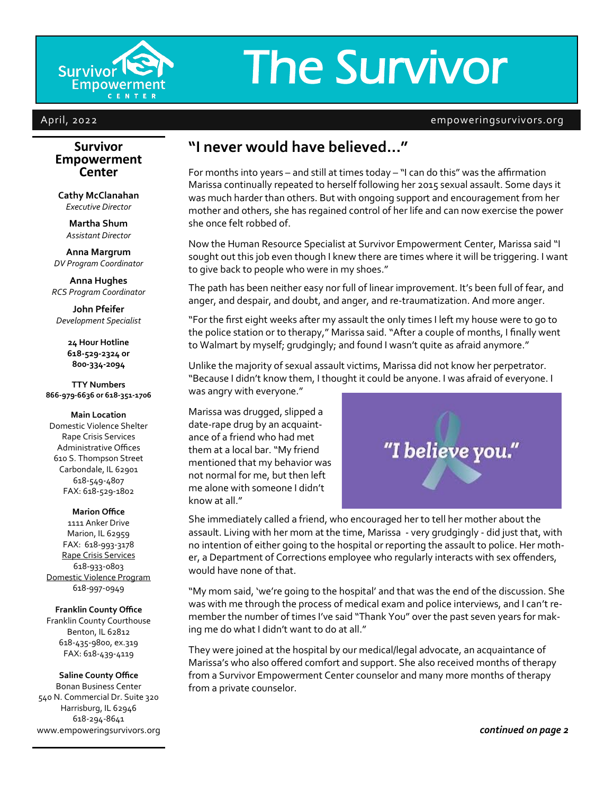

# The Survivor

#### April, 2022 empoweringsurvivors.org

#### **Survivor Empowerment Center**

**Cathy McClanahan** *Executive Director*

> **Martha Shum** *Assistant Director*

**Anna Margrum** *DV Program Coordinator*

**Anna Hughes** *RCS Program Coordinator*

**John Pfeifer** *Development Specialist*

> **24 Hour Hotline 618-529-2324 or 800-334-2094**

**TTY Numbers 866-979-6636 or 618-351-1706**

**Main Location** Domestic Violence Shelter Rape Crisis Services Administrative Offices 610 S. Thompson Street Carbondale, IL 62901 618-549-4807 FAX: 618-529-1802

**Marion Office** 1111 Anker Drive Marion, IL 62959 FAX: 618-993-3178 Rape Crisis Services 618-933-0803 Domestic Violence Program 618-997-0949

**Franklin County Office** Franklin County Courthouse Benton, IL 62812 618-435-9800, ex.319 FAX: 618-439-4119

**Saline County Office** Bonan Business Center 540 N. Commercial Dr. Suite 320 Harrisburg, IL 62946 618-294-8641 www.empoweringsurvivors.org

### **"I never would have believed..."**

For months into years – and still at times today – "I can do this" was the affirmation Marissa continually repeated to herself following her 2015 sexual assault. Some days it was much harder than others. But with ongoing support and encouragement from her mother and others, she has regained control of her life and can now exercise the power she once felt robbed of.

Now the Human Resource Specialist at Survivor Empowerment Center, Marissa said "I sought out this job even though I knew there are times where it will be triggering. I want to give back to people who were in my shoes."

The path has been neither easy nor full of linear improvement. It's been full of fear, and anger, and despair, and doubt, and anger, and re-traumatization. And more anger.

"For the first eight weeks after my assault the only times I left my house were to go to the police station or to therapy," Marissa said. "After a couple of months, I finally went to Walmart by myself; grudgingly; and found I wasn't quite as afraid anymore."

Unlike the majority of sexual assault victims, Marissa did not know her perpetrator. "Because I didn't know them, I thought it could be anyone. I was afraid of everyone. I was angry with everyone."

Marissa was drugged, slipped a date-rape drug by an acquaintance of a friend who had met them at a local bar. "My friend mentioned that my behavior was not normal for me, but then left me alone with someone I didn't know at all."



She immediately called a friend, who encouraged her to tell her mother about the assault. Living with her mom at the time, Marissa - very grudgingly - did just that, with no intention of either going to the hospital or reporting the assault to police. Her mother, a Department of Corrections employee who regularly interacts with sex offenders, would have none of that.

"My mom said, 'we're going to the hospital' and that was the end of the discussion. She was with me through the process of medical exam and police interviews, and I can't remember the number of times I've said "Thank You" over the past seven years for making me do what I didn't want to do at all."

They were joined at the hospital by our medical/legal advocate, an acquaintance of Marissa's who also offered comfort and support. She also received months of therapy from a Survivor Empowerment Center counselor and many more months of therapy from a private counselor.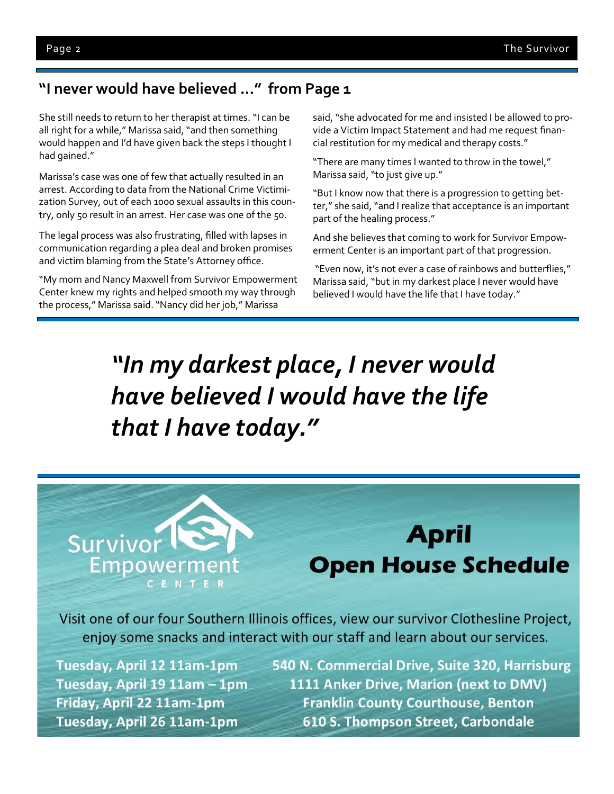#### **"I never would have believed …" from Page 1**

She still needs to return to her therapist at times. "I can be all right for a while," Marissa said, "and then something would happen and I'd have given back the steps I thought I had gained."

Marissa's case was one of few that actually resulted in an arrest. According to data from the National Crime Victimization Survey, out of each 1000 sexual assaults in this country, only 50 result in an arrest. Her case was one of the 50.

The legal process was also frustrating, filled with lapses in communication regarding a plea deal and broken promises and victim blaming from the State's Attorney office.

"My mom and Nancy Maxwell from Survivor Empowerment Center knew my rights and helped smooth my way through the process," Marissa said. "Nancy did her job," Marissa

said, "she advocated for me and insisted I be allowed to provide a Victim Impact Statement and had me request financial restitution for my medical and therapy costs."

"There are many times I wanted to throw in the towel," Marissa said, "to just give up."

"But I know now that there is a progression to getting better," she said, "and I realize that acceptance is an important part of the healing process."

And she believes that coming to work for Survivor Empowerment Center is an important part of that progression.

"Even now, it's not ever a case of rainbows and butterflies," Marissa said, "but in my darkest place I never would have believed I would have the life that I have today."

## *"In my darkest place, I never would have believed I would have the life that I have today."*



Visit one of our four Southern Illinois offices, view our survivor Clothesline Project, enjoy some snacks and interact with our staff and learn about our services.

Tuesday, April 12 11am-1pm Tuesday, April 19 11am - 1pm Friday, April 22 11am-1pm Tuesday, April 26 11am-1pm

540 N. Commercial Drive, Suite 320, Harrisburg 1111 Anker Drive, Marion (next to DMV) **Franklin County Courthouse, Benton** 610 S. Thompson Street, Carbondale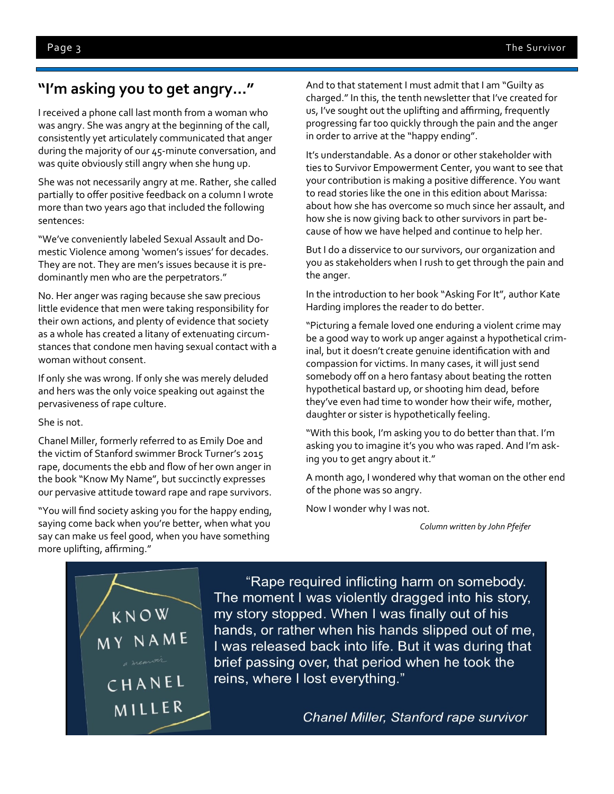#### **"I'm asking you to get angry…"**

I received a phone call last month from a woman who was angry. She was angry at the beginning of the call, consistently yet articulately communicated that anger during the majority of our 45-minute conversation, and was quite obviously still angry when she hung up.

She was not necessarily angry at me. Rather, she called partially to offer positive feedback on a column I wrote more than two years ago that included the following sentences:

"We've conveniently labeled Sexual Assault and Domestic Violence among 'women's issues' for decades. They are not. They are men's issues because it is predominantly men who are the perpetrators."

No. Her anger was raging because she saw precious little evidence that men were taking responsibility for their own actions, and plenty of evidence that society as a whole has created a litany of extenuating circumstances that condone men having sexual contact with a woman without consent.

If only she was wrong. If only she was merely deluded and hers was the only voice speaking out against the pervasiveness of rape culture.

She is not.

Chanel Miller, formerly referred to as Emily Doe and the victim of Stanford swimmer Brock Turner's 2015 rape, documents the ebb and flow of her own anger in the book "Know My Name", but succinctly expresses our pervasive attitude toward rape and rape survivors.

"You will find society asking you for the happy ending, saying come back when you're better, when what you say can make us feel good, when you have something more uplifting, affirming."

And to that statement I must admit that I am "Guilty as charged." In this, the tenth newsletter that I've created for us, I've sought out the uplifting and affirming, frequently progressing far too quickly through the pain and the anger in order to arrive at the "happy ending".

It's understandable. As a donor or other stakeholder with ties to Survivor Empowerment Center, you want to see that your contribution is making a positive difference. You want to read stories like the one in this edition about Marissa: about how she has overcome so much since her assault, and how she is now giving back to other survivors in part because of how we have helped and continue to help her.

But I do a disservice to our survivors, our organization and you as stakeholders when I rush to get through the pain and the anger.

In the introduction to her book "Asking For It", author Kate Harding implores the reader to do better.

"Picturing a female loved one enduring a violent crime may be a good way to work up anger against a hypothetical criminal, but it doesn't create genuine identification with and compassion for victims. In many cases, it will just send somebody off on a hero fantasy about beating the rotten hypothetical bastard up, or shooting him dead, before they've even had time to wonder how their wife, mother, daughter or sister is hypothetically feeling.

"With this book, I'm asking you to do better than that. I'm asking you to imagine it's you who was raped. And I'm asking you to get angry about it."

A month ago, I wondered why that woman on the other end of the phone was so angry.

Now I wonder why I was not.

*Column written by John Pfeifer*

KNOW MY NAME CHANEL MILLER

"Rape required inflicting harm on somebody. The moment I was violently dragged into his story, my story stopped. When I was finally out of his hands, or rather when his hands slipped out of me, I was released back into life. But it was during that brief passing over, that period when he took the reins, where I lost everything."

Chanel Miller, Stanford rape survivor